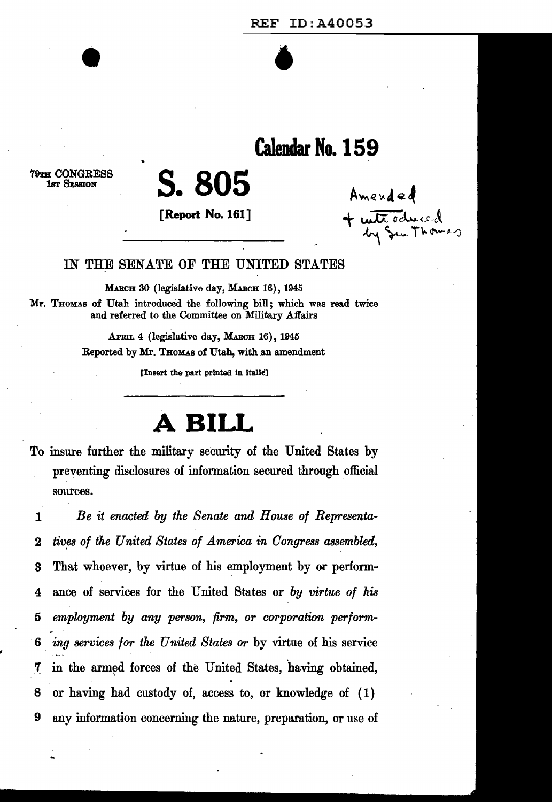# REF ID:A40053  $\bullet$   $\bullet$

## **Calendar No. 159**

79TH CONGRESS lsT SESSION

## **S.805**

•

**[Report No. 161]** 

Amended  $+$  with odnesd  $m_{\rm N}$  Sem Thomas

#### IN THE SENATE OF THE UNITED STATES

MARCH 30 (legislative day, MARCH 16), 1945 Mr. THOMAS of Utah introduced the following bill; which was read twice and referred to the Committee on Military Affairs

> APmL 4 (legislative day, MARGH 16), 1945 Reported by Mr. THOMAS of Utah, with an amendment

> > [Insert the part printed In Italic]

## **ABILL**

To insure further the military security of the United States by preventing disclosures of information secured through official sources.

1 *Be it enacted by the Senate and House of Representa-*2 tives of the United States of America in Congress assembled, 3 That whoever, by virtue of his employment by or perform-4 ance of services for the United States or *by virtue of his*  5 *employment by any person, firm, or corporation perform-*. 6 *ing services for the United States or* by virtue of his service 7 in the armed forces of the United States, having obtained, 8 or having had custody of, access to, or knowledge of ( 1) 9 any information concerning the nature, preparation, or use of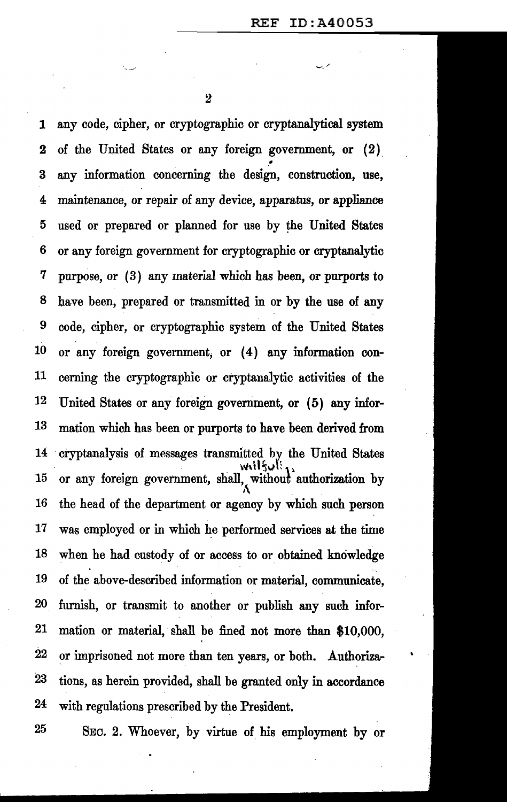$\overline{2}$ 

··-.-· ..... -.. /

1 any code, cipher, or cryptographic or cryptanalytical system 2 of the United States or any foreign government, or (2) • 3 any information concerning the design, construction, use, 4 maintenance, or repair of any device, apparatus, or appliance 5 used or prepared or planned for use by the United States 6 or any foreign government for cryptographic or cryptanalytic 7 purpose, or ( 3) any material which has been, or purports to 8 have been, prepared or transmitted in or by the use of any 9 code, cipher, or cryptographic system of the United States 10 or any foreign government, or (4) any information con-11 cerning the cryptographic or cryptanalytic activities of the 12 United States or any foreign government, or (5) any infor-13 mation which has been or purports to have been derived from 14 cryptanalysis of messages transmitted by the United States 15 or any foreign government, shall, without authorization by 16 the head of the department or agency by which such person 17 was employed or in which he performed services at the time 18 when he had custody of or access to or obtained knowledge 19 of the above-described information or material, communicate, 20 furnish, or transmit to another or publish any such infor-21 mation or material, shall be fined not more than \$10,000, ' 22 or imprisoned not more than ten years, or both. Authoriza-23 tions, as herein provided, shall be granted only in accordance 24 with regulations prescribed by the President.

25 SEC. 2. Whoever, by virtue of his employment by or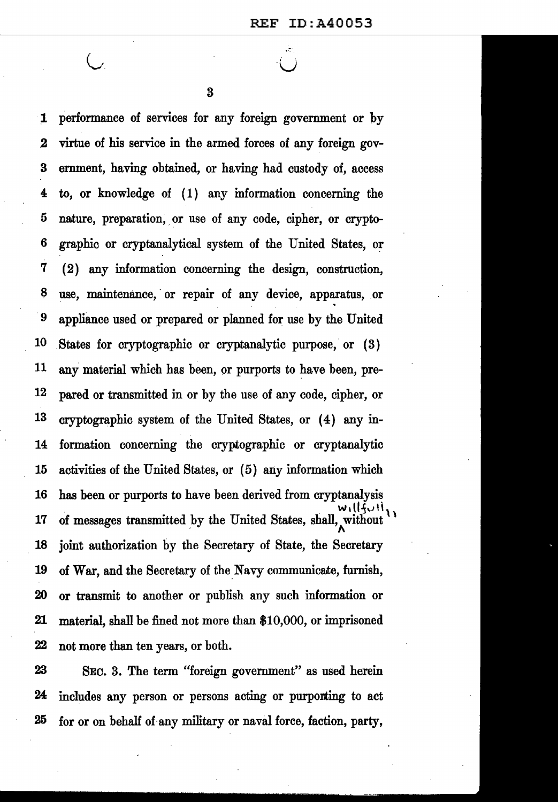$\bigcup$ 

3

1 performance of services for any foreign government or by .2 virtue of his service in the armed forces of any foreign gov-3 ernment, having obtained, or having had custody of, access 4 to, or knowledge of ( 1) any information concerning the 5 nature, preparation, or use of any code, cipher, or crypto-6 graphic or cryptanalytical system of the United States, or 7 ( 2) any information concerning the design, construction, 8 use, maintenance, or repair of any device, apparatus, or <sup>9</sup> appliance used or prepared or planned for use by the United 10 States for cryptographic or cryptanalytic purpose, or (3)  $11$  any material which has been, or purports to have been, pre-12 pared or transmitted in or by the use of any code, cipher, or 13 cryptographic system of the United States, or (4) any in-14 formation concerning the cryptographic or cryptanalytic 15 activities of the United States, or  $(5)$  any information which 16 has been or purports to have been derived from cryptanalysis 17 of messages transmitted by the United States, shall, without 18 joint authorization by the Secretary of State, the Secretary 19 of War, and the Secretary of the Navy communicate, furnish, 20 or transmit to another or publish any such information or 21 material, shall be fined not more than \$10,000, or imprisoned 22 not more than ten years, or both.

23 SEC. 3. The term "foreign government" as used herein 24 includes any person or persons acting or purporting to act 25 for or on behalf of.any military or naval force, faction, party,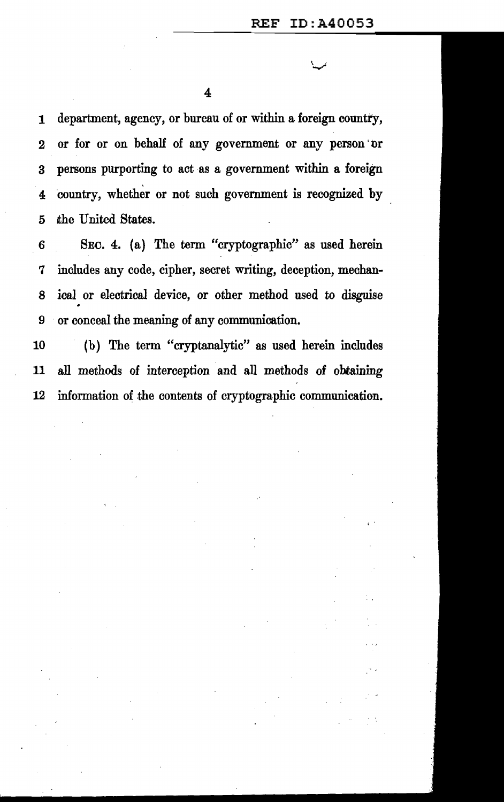1 department, agency, or bureau of or within a foreign country, 2 or for or on behalf of any government or any person ·or 3 persons purporting to act as a government within a foreign 4 country, whether or not such government is recognized by 5 the United States.

6 SEC. 4. (a) The term "cryptographic" as used herein 7 includes any code, cipher, secret writing, deception, mechan-8 ical or electrical device, or other method used to disguise 9 or conceal the meaning of any communication.

10 (b) The term "cryptanalytic" as used herein includes 11 all methods of interception and all methods of obtaining 12 information of the contents of cryptographic communication.